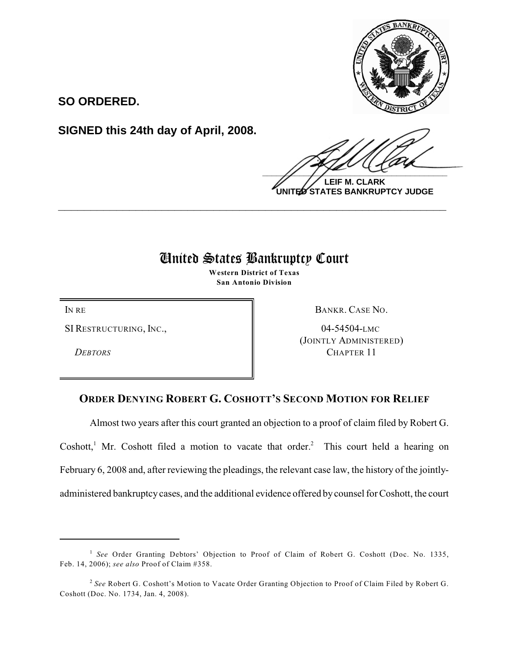

**SO ORDERED.**

**SIGNED this 24th day of April, 2008.**

 $\frac{1}{2}$ 

**LEIF M. CLARK UNITED STATES BANKRUPTCY JUDGE**

## United States Bankruptcy Court

**\_\_\_\_\_\_\_\_\_\_\_\_\_\_\_\_\_\_\_\_\_\_\_\_\_\_\_\_\_\_\_\_\_\_\_\_\_\_\_\_\_\_\_\_\_\_\_\_\_\_\_\_\_\_\_\_\_\_\_\_**

**Western District of Texas San Antonio Division**

SI RESTRUCTURING, INC.,

*DEBTORS* 

IN RE BANKR. CASE NO.

04-54504-LMC (JOINTLY ADMINISTERED) CHAPTER 11

## **ORDER DENYING ROBERT G. COSHOTT'S SECOND MOTION FOR RELIEF**

Almost two years after this court granted an objection to a proof of claim filed by Robert G. Coshott,<sup>1</sup> Mr. Coshott filed a motion to vacate that order.<sup>2</sup> This court held a hearing on February 6, 2008 and, after reviewing the pleadings, the relevant case law, the history of the jointlyadministered bankruptcy cases, and the additional evidence offered by counsel for Coshott, the court

<sup>&</sup>lt;sup>1</sup> See Order Granting Debtors' Objection to Proof of Claim of Robert G. Coshott (Doc. No. 1335, Feb. 14, 2006); *see also* Proof of Claim #358.

<sup>&</sup>lt;sup>2</sup> See Robert G. Coshott's Motion to Vacate Order Granting Objection to Proof of Claim Filed by Robert G. Coshott (Doc. No. 1734, Jan. 4, 2008).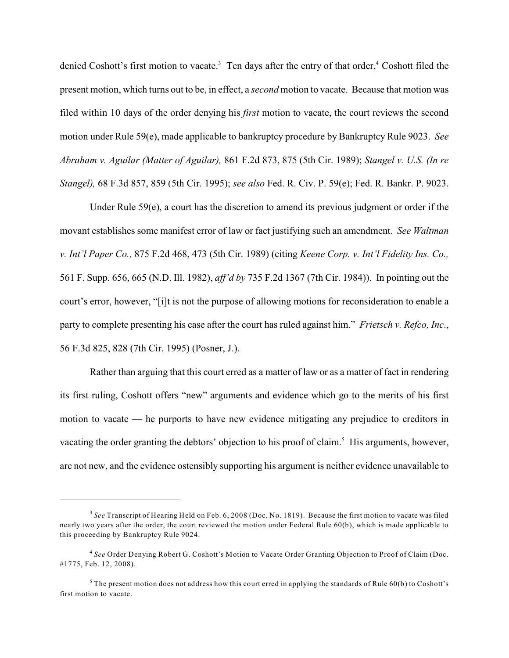denied Coshott's first motion to vacate.<sup>3</sup> Ten days after the entry of that order,<sup>4</sup> Coshott filed the present motion, which turns out to be, in effect, a *second* motion to vacate. Because that motion was filed within 10 days of the order denying his *first* motion to vacate, the court reviews the second motion under Rule 59(e), made applicable to bankruptcy procedure by Bankruptcy Rule 9023. *See Abraham v. Aguilar (Matter of Aguilar),* 861 F.2d 873, 875 (5th Cir. 1989); *Stangel v. U.S. (In re Stangel),* 68 F.3d 857, 859 (5th Cir. 1995); *see also* Fed. R. Civ. P. 59(e); Fed. R. Bankr. P. 9023.

Under Rule 59(e), a court has the discretion to amend its previous judgment or order if the movant establishes some manifest error of law or fact justifying such an amendment. *See Waltman v. Int'l Paper Co.,* 875 F.2d 468, 473 (5th Cir. 1989) (citing *Keene Corp. v. Int'l Fidelity Ins. Co.,* 561 F. Supp. 656, 665 (N.D. Ill. 1982), *aff'd by* 735 F.2d 1367 (7th Cir. 1984)). In pointing out the court's error, however, "[i]t is not the purpose of allowing motions for reconsideration to enable a party to complete presenting his case after the court has ruled against him." *Frietsch v. Refco, Inc*., 56 F.3d 825, 828 (7th Cir. 1995) (Posner, J.).

Rather than arguing that this court erred as a matter of law or as a matter of fact in rendering its first ruling, Coshott offers "new" arguments and evidence which go to the merits of his first motion to vacate — he purports to have new evidence mitigating any prejudice to creditors in vacating the order granting the debtors' objection to his proof of claim.<sup>5</sup> His arguments, however, are not new, and the evidence ostensibly supporting his argument is neither evidence unavailable to

<sup>&</sup>lt;sup>3</sup> See Transcript of Hearing Held on Feb. 6, 2008 (Doc. No. 1819). Because the first motion to vacate was filed nearly two years after the order, the court reviewed the motion under Federal Rule 60(b), which is made applicable to this proceeding by Bankruptcy Rule 9024.

<sup>&</sup>lt;sup>4</sup> See Order Denying Robert G. Coshott's Motion to Vacate Order Granting Objection to Proof of Claim (Doc. #1775, Feb. 12, 2008).

 $5$  The present motion does not address how this court erred in applying the standards of Rule 60(b) to Coshott's first motion to vacate.